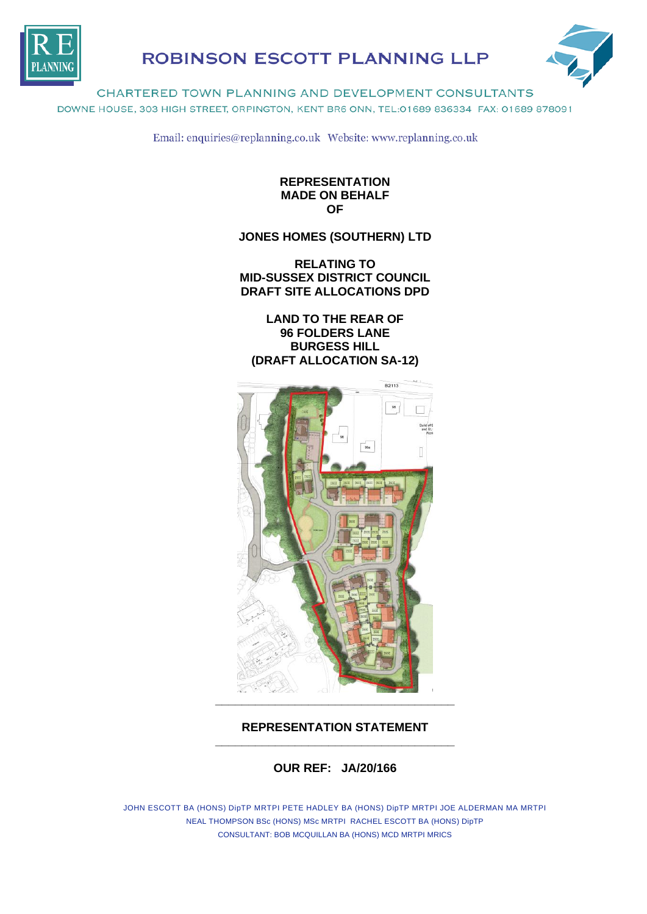

# ROBINSON ESCOTT PLANNING LLP



CHARTERED TOWN PLANNING AND DEVELOPMENT CONSULTANTS DOWNE HOUSE, 303 HIGH STREET, ORPINGTON, KENT BR6 ONN, TEL:01689 836334 FAX: 01689 878091

Email: enquiries@replanning.co.uk Website: www.replanning.co.uk

**REPRESENTATION MADE ON BEHALF OF** 

**JONES HOMES (SOUTHERN) LTD**

**RELATING TO MID-SUSSEX DISTRICT COUNCIL DRAFT SITE ALLOCATIONS DPD** 

**LAND TO THE REAR OF 96 FOLDERS LANE BURGESS HILL (DRAFT ALLOCATION SA-12)**



### **REPRESENTATION STATEMENT \_\_\_\_\_\_\_\_\_\_\_\_\_\_\_\_\_\_\_\_\_\_\_\_\_\_\_\_\_\_\_\_\_\_\_\_**

**OUR REF: JA/20/166**

JOHN ESCOTT BA (HONS) DipTP MRTPI PETE HADLEY BA (HONS) DipTP MRTPI JOE ALDERMAN MA MRTPI NEAL THOMPSON BSc (HONS) MSc MRTPI RACHEL ESCOTT BA (HONS) DipTP CONSULTANT: BOB MCQUILLAN BA (HONS) MCD MRTPI MRICS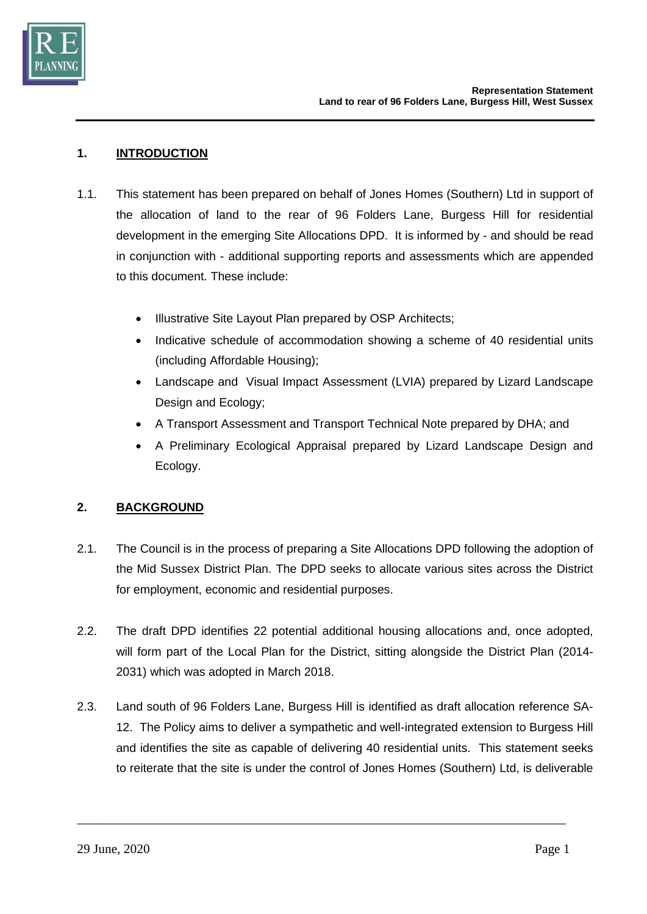

# **1. INTRODUCTION**

- 1.1. This statement has been prepared on behalf of Jones Homes (Southern) Ltd in support of the allocation of land to the rear of 96 Folders Lane, Burgess Hill for residential development in the emerging Site Allocations DPD. It is informed by - and should be read in conjunction with - additional supporting reports and assessments which are appended to this document. These include:
	- Illustrative Site Layout Plan prepared by OSP Architects;
	- Indicative schedule of accommodation showing a scheme of 40 residential units (including Affordable Housing);
	- Landscape and Visual Impact Assessment (LVIA) prepared by Lizard Landscape Design and Ecology;
	- A Transport Assessment and Transport Technical Note prepared by DHA; and
	- A Preliminary Ecological Appraisal prepared by Lizard Landscape Design and Ecology.

# **2. BACKGROUND**

- 2.1. The Council is in the process of preparing a Site Allocations DPD following the adoption of the Mid Sussex District Plan. The DPD seeks to allocate various sites across the District for employment, economic and residential purposes.
- 2.2. The draft DPD identifies 22 potential additional housing allocations and, once adopted, will form part of the Local Plan for the District, sitting alongside the District Plan (2014- 2031) which was adopted in March 2018.
- 2.3. Land south of 96 Folders Lane, Burgess Hill is identified as draft allocation reference SA-12. The Policy aims to deliver a sympathetic and well-integrated extension to Burgess Hill and identifies the site as capable of delivering 40 residential units. This statement seeks to reiterate that the site is under the control of Jones Homes (Southern) Ltd, is deliverable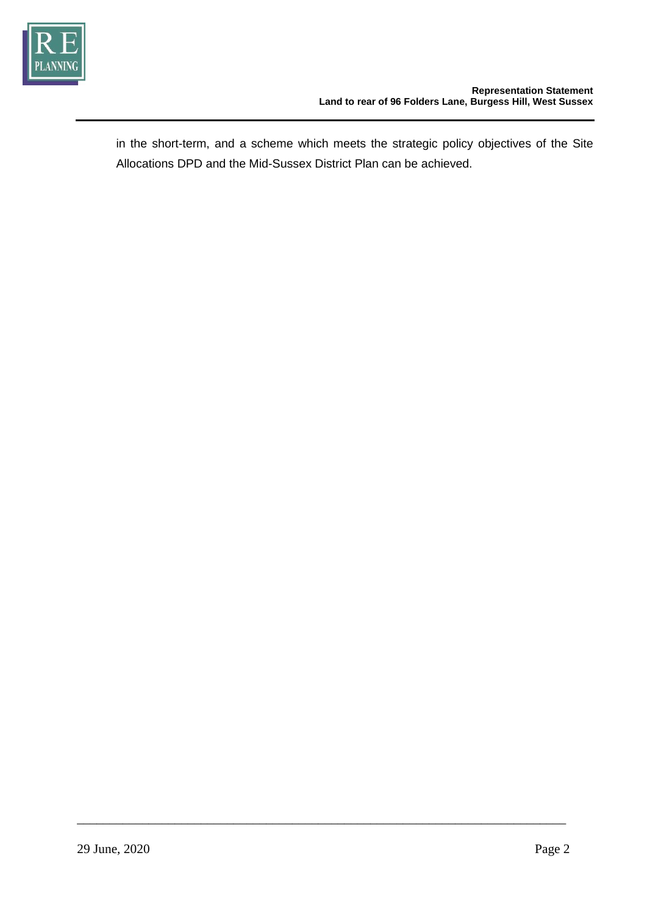

in the short-term, and a scheme which meets the strategic policy objectives of the Site Allocations DPD and the Mid-Sussex District Plan can be achieved.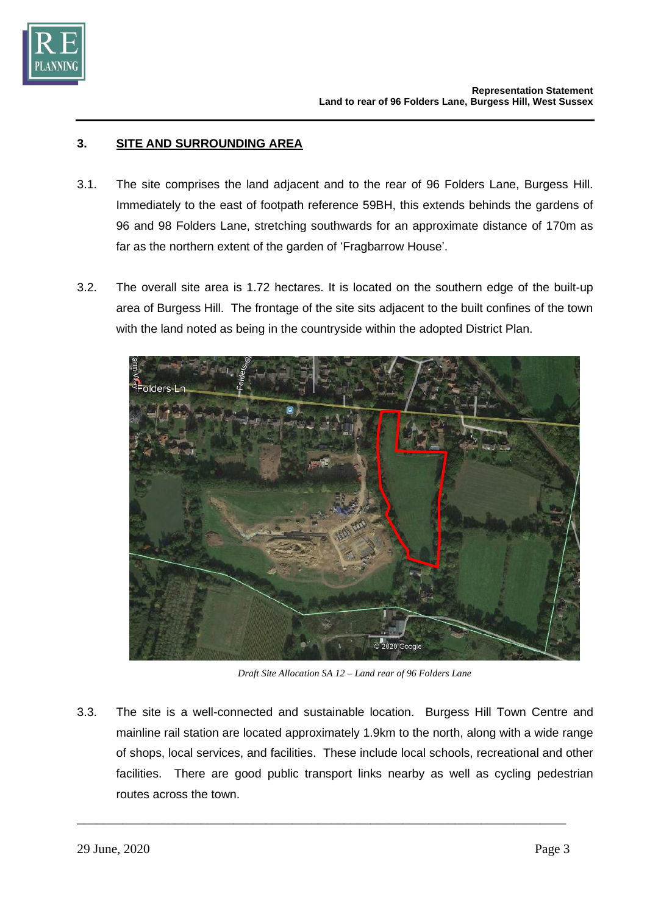

# **3. SITE AND SURROUNDING AREA**

- 3.1. The site comprises the land adjacent and to the rear of 96 Folders Lane, Burgess Hill. Immediately to the east of footpath reference 59BH, this extends behinds the gardens of 96 and 98 Folders Lane, stretching southwards for an approximate distance of 170m as far as the northern extent of the garden of 'Fragbarrow House'.
- 3.2. The overall site area is 1.72 hectares. It is located on the southern edge of the built-up area of Burgess Hill. The frontage of the site sits adjacent to the built confines of the town with the land noted as being in the countryside within the adopted District Plan.



*Draft Site Allocation SA 12 – Land rear of 96 Folders Lane*

3.3. The site is a well-connected and sustainable location. Burgess Hill Town Centre and mainline rail station are located approximately 1.9km to the north, along with a wide range of shops, local services, and facilities. These include local schools, recreational and other facilities. There are good public transport links nearby as well as cycling pedestrian routes across the town.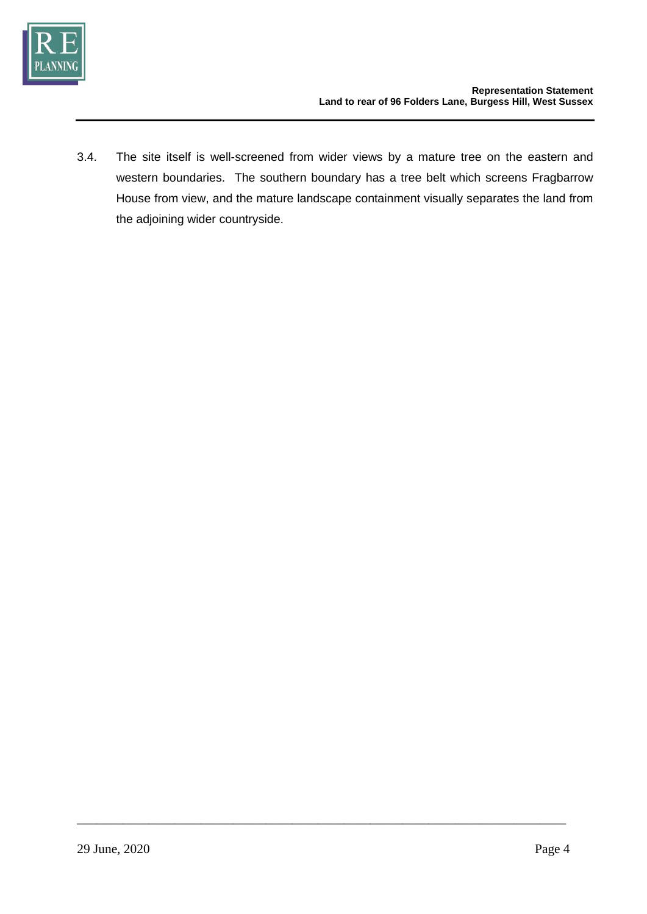

3.4. The site itself is well-screened from wider views by a mature tree on the eastern and western boundaries. The southern boundary has a tree belt which screens Fragbarrow House from view, and the mature landscape containment visually separates the land from the adjoining wider countryside.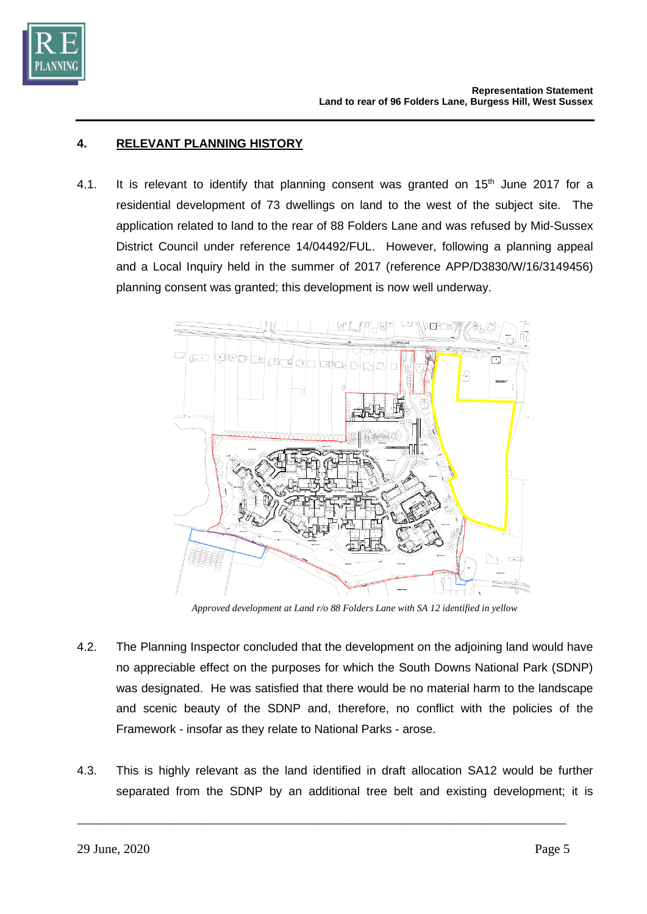

# **4. RELEVANT PLANNING HISTORY**

4.1. It is relevant to identify that planning consent was granted on  $15<sup>th</sup>$  June 2017 for a residential development of 73 dwellings on land to the west of the subject site. The application related to land to the rear of 88 Folders Lane and was refused by Mid-Sussex District Council under reference 14/04492/FUL. However, following a planning appeal and a Local Inquiry held in the summer of 2017 (reference APP/D3830/W/16/3149456) planning consent was granted; this development is now well underway.



*Approved development at Land r/o 88 Folders Lane with SA 12 identified in yellow*

- 4.2. The Planning Inspector concluded that the development on the adjoining land would have no appreciable effect on the purposes for which the South Downs National Park (SDNP) was designated. He was satisfied that there would be no material harm to the landscape and scenic beauty of the SDNP and, therefore, no conflict with the policies of the Framework - insofar as they relate to National Parks - arose.
- 4.3. This is highly relevant as the land identified in draft allocation SA12 would be further separated from the SDNP by an additional tree belt and existing development; it is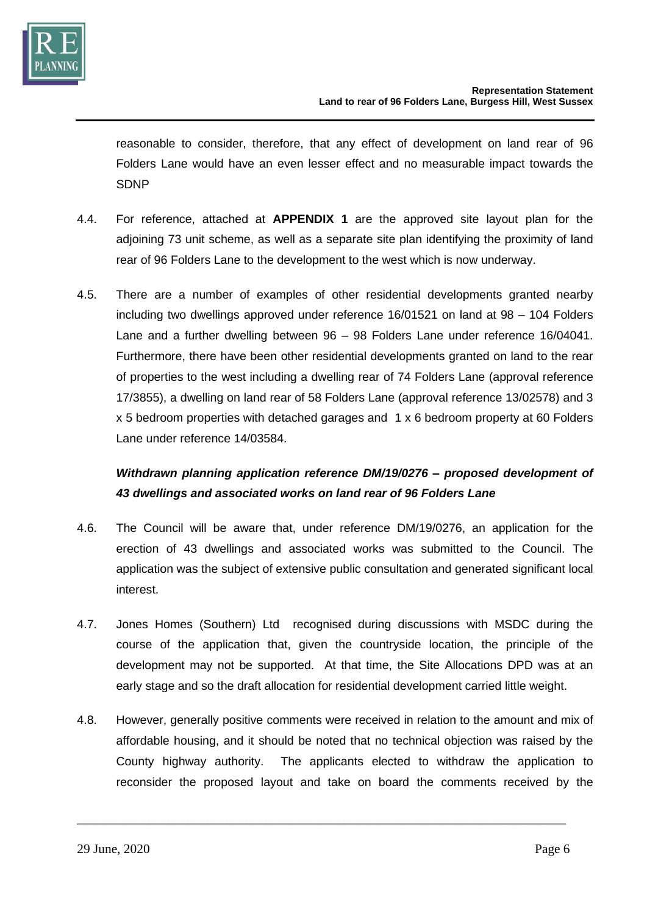

reasonable to consider, therefore, that any effect of development on land rear of 96 Folders Lane would have an even lesser effect and no measurable impact towards the **SDNP** 

- 4.4. For reference, attached at **APPENDIX 1** are the approved site layout plan for the adjoining 73 unit scheme, as well as a separate site plan identifying the proximity of land rear of 96 Folders Lane to the development to the west which is now underway.
- 4.5. There are a number of examples of other residential developments granted nearby including two dwellings approved under reference 16/01521 on land at 98 – 104 Folders Lane and a further dwelling between 96 – 98 Folders Lane under reference 16/04041. Furthermore, there have been other residential developments granted on land to the rear of properties to the west including a dwelling rear of 74 Folders Lane (approval reference 17/3855), a dwelling on land rear of 58 Folders Lane (approval reference 13/02578) and 3 x 5 bedroom properties with detached garages and 1 x 6 bedroom property at 60 Folders Lane under reference 14/03584.

# *Withdrawn planning application reference DM/19/0276 – proposed development of 43 dwellings and associated works on land rear of 96 Folders Lane*

- 4.6. The Council will be aware that, under reference DM/19/0276, an application for the erection of 43 dwellings and associated works was submitted to the Council. The application was the subject of extensive public consultation and generated significant local interest.
- 4.7. Jones Homes (Southern) Ltd recognised during discussions with MSDC during the course of the application that, given the countryside location, the principle of the development may not be supported. At that time, the Site Allocations DPD was at an early stage and so the draft allocation for residential development carried little weight.
- 4.8. However, generally positive comments were received in relation to the amount and mix of affordable housing, and it should be noted that no technical objection was raised by the County highway authority. The applicants elected to withdraw the application to reconsider the proposed layout and take on board the comments received by the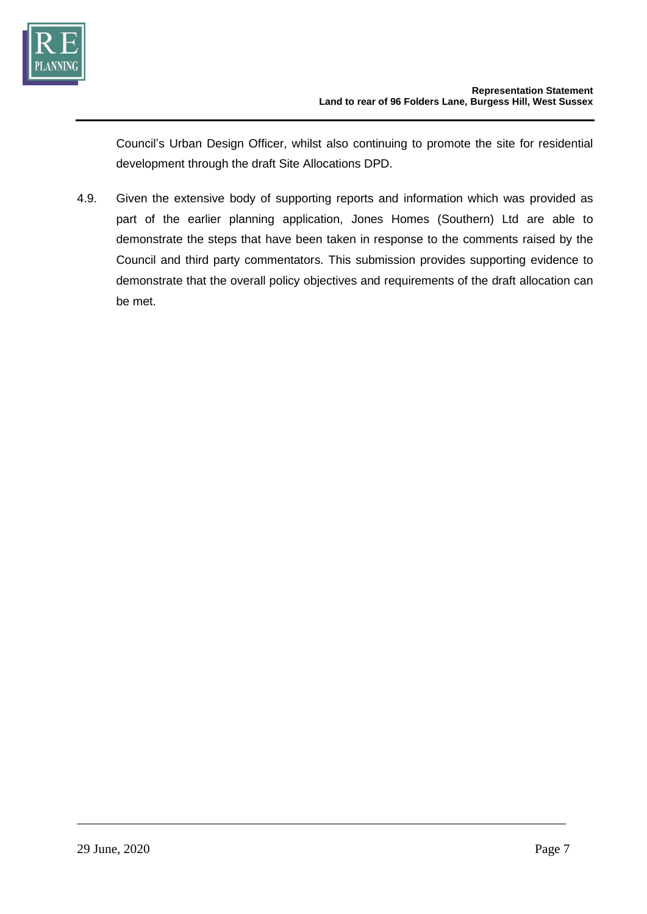

Council's Urban Design Officer, whilst also continuing to promote the site for residential development through the draft Site Allocations DPD.

4.9. Given the extensive body of supporting reports and information which was provided as part of the earlier planning application, Jones Homes (Southern) Ltd are able to demonstrate the steps that have been taken in response to the comments raised by the Council and third party commentators. This submission provides supporting evidence to demonstrate that the overall policy objectives and requirements of the draft allocation can be met.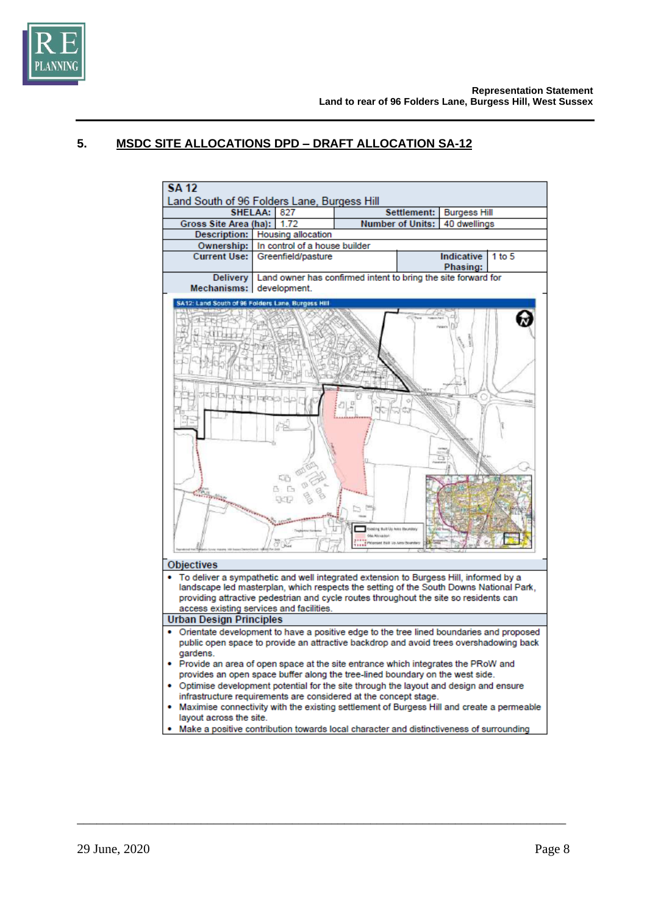

# **5. MSDC SITE ALLOCATIONS DPD – DRAFT ALLOCATION SA-12**

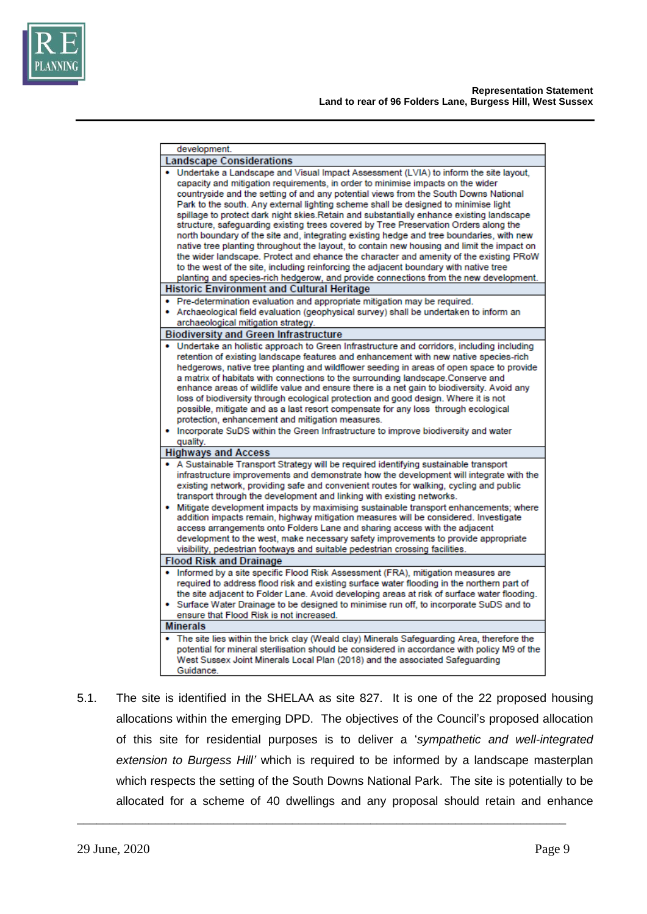

| development.                                                                                                                                                                                                                                                                                                                                                                                                                                                                                                                                                                                                                                                                                                                                                                                                                                                                                                                                                                                                       |  |
|--------------------------------------------------------------------------------------------------------------------------------------------------------------------------------------------------------------------------------------------------------------------------------------------------------------------------------------------------------------------------------------------------------------------------------------------------------------------------------------------------------------------------------------------------------------------------------------------------------------------------------------------------------------------------------------------------------------------------------------------------------------------------------------------------------------------------------------------------------------------------------------------------------------------------------------------------------------------------------------------------------------------|--|
| <b>Landscape Considerations</b>                                                                                                                                                                                                                                                                                                                                                                                                                                                                                                                                                                                                                                                                                                                                                                                                                                                                                                                                                                                    |  |
| • Undertake a Landscape and Visual Impact Assessment (LVIA) to inform the site layout,<br>capacity and mitigation requirements, in order to minimise impacts on the wider<br>countryside and the setting of and any potential views from the South Downs National<br>Park to the south. Any external lighting scheme shall be designed to minimise light<br>spillage to protect dark night skies.Retain and substantially enhance existing landscape<br>structure, safeguarding existing trees covered by Tree Preservation Orders along the<br>north boundary of the site and, integrating existing hedge and tree boundaries, with new<br>native tree planting throughout the layout, to contain new housing and limit the impact on<br>the wider landscape. Protect and ehance the character and amenity of the existing PRoW<br>to the west of the site, including reinforcing the adjacent boundary with native tree<br>planting and species-rich hedgerow, and provide connections from the new development. |  |
| <b>Historic Environment and Cultural Heritage</b>                                                                                                                                                                                                                                                                                                                                                                                                                                                                                                                                                                                                                                                                                                                                                                                                                                                                                                                                                                  |  |
| • Pre-determination evaluation and appropriate mitigation may be required.<br>• Archaeological field evaluation (geophysical survey) shall be undertaken to inform an<br>archaeological mitigation strategy.                                                                                                                                                                                                                                                                                                                                                                                                                                                                                                                                                                                                                                                                                                                                                                                                       |  |
| <b>Biodiversity and Green Infrastructure</b>                                                                                                                                                                                                                                                                                                                                                                                                                                                                                                                                                                                                                                                                                                                                                                                                                                                                                                                                                                       |  |
| Undertake an holistic approach to Green Infrastructure and corridors, including including<br>retention of existing landscape features and enhancement with new native species-rich<br>hedgerows, native tree planting and wildflower seeding in areas of open space to provide<br>a matrix of habitats with connections to the surrounding landscape.Conserve and<br>enhance areas of wildlife value and ensure there is a net gain to biodiversity. Avoid any<br>loss of biodiversity through ecological protection and good design. Where it is not<br>possible, mitigate and as a last resort compensate for any loss through ecological<br>protection, enhancement and mitigation measures.<br>• Incorporate SuDS within the Green Infrastructure to improve biodiversity and water<br>quality.                                                                                                                                                                                                                |  |
| <b>Highways and Access</b>                                                                                                                                                                                                                                                                                                                                                                                                                                                                                                                                                                                                                                                                                                                                                                                                                                                                                                                                                                                         |  |
| • A Sustainable Transport Strategy will be required identifying sustainable transport<br>infrastructure improvements and demonstrate how the development will integrate with the<br>existing network, providing safe and convenient routes for walking, cycling and public<br>transport through the development and linking with existing networks.<br>Mitigate development impacts by maximising sustainable transport enhancements; where<br>٠<br>addition impacts remain, highway mitigation measures will be considered. Investigate<br>access arrangements onto Folders Lane and sharing access with the adjacent<br>development to the west, make necessary safety improvements to provide appropriate<br>visibility, pedestrian footways and suitable pedestrian crossing facilities.                                                                                                                                                                                                                       |  |
| <b>Flood Risk and Drainage</b>                                                                                                                                                                                                                                                                                                                                                                                                                                                                                                                                                                                                                                                                                                                                                                                                                                                                                                                                                                                     |  |
| • Informed by a site specific Flood Risk Assessment (FRA), mitigation measures are<br>required to address flood risk and existing surface water flooding in the northern part of<br>the site adjacent to Folder Lane. Avoid developing areas at risk of surface water flooding.<br>• Surface Water Drainage to be designed to minimise run off, to incorporate SuDS and to<br>ensure that Flood Risk is not increased.                                                                                                                                                                                                                                                                                                                                                                                                                                                                                                                                                                                             |  |
| <b>Minerals</b>                                                                                                                                                                                                                                                                                                                                                                                                                                                                                                                                                                                                                                                                                                                                                                                                                                                                                                                                                                                                    |  |
| • The site lies within the brick clay (Weald clay) Minerals Safeguarding Area, therefore the<br>potential for mineral sterilisation should be considered in accordance with policy M9 of the<br>West Sussex Joint Minerals Local Plan (2018) and the associated Safequarding<br>Guidance.                                                                                                                                                                                                                                                                                                                                                                                                                                                                                                                                                                                                                                                                                                                          |  |

5.1. The site is identified in the SHELAA as site 827. It is one of the 22 proposed housing allocations within the emerging DPD. The objectives of the Council's proposed allocation of this site for residential purposes is to deliver a '*sympathetic and well-integrated extension to Burgess Hill'* which is required to be informed by a landscape masterplan which respects the setting of the South Downs National Park. The site is potentially to be allocated for a scheme of 40 dwellings and any proposal should retain and enhance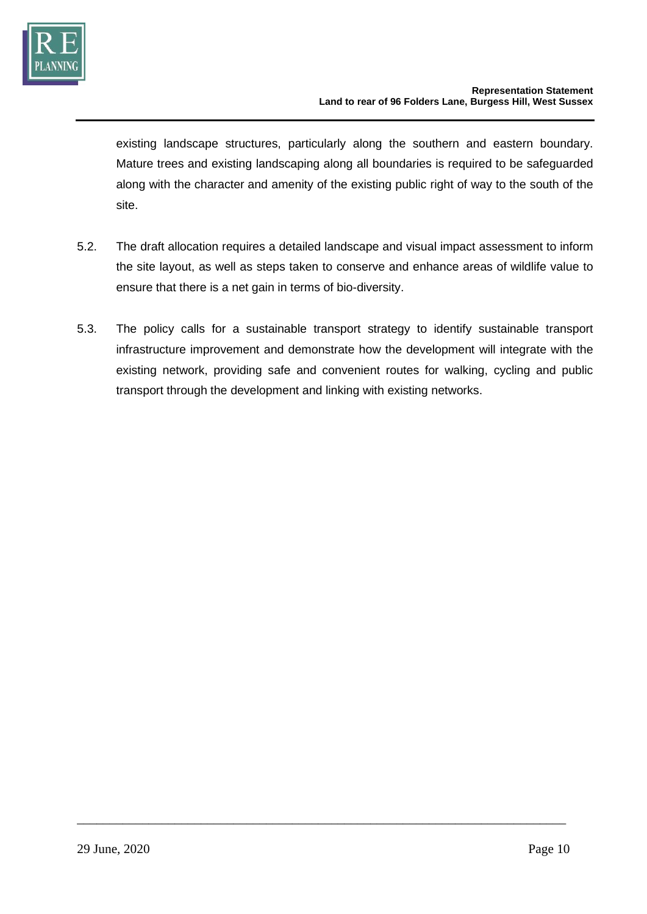

existing landscape structures, particularly along the southern and eastern boundary. Mature trees and existing landscaping along all boundaries is required to be safeguarded along with the character and amenity of the existing public right of way to the south of the site.

- 5.2. The draft allocation requires a detailed landscape and visual impact assessment to inform the site layout, as well as steps taken to conserve and enhance areas of wildlife value to ensure that there is a net gain in terms of bio-diversity.
- 5.3. The policy calls for a sustainable transport strategy to identify sustainable transport infrastructure improvement and demonstrate how the development will integrate with the existing network, providing safe and convenient routes for walking, cycling and public transport through the development and linking with existing networks.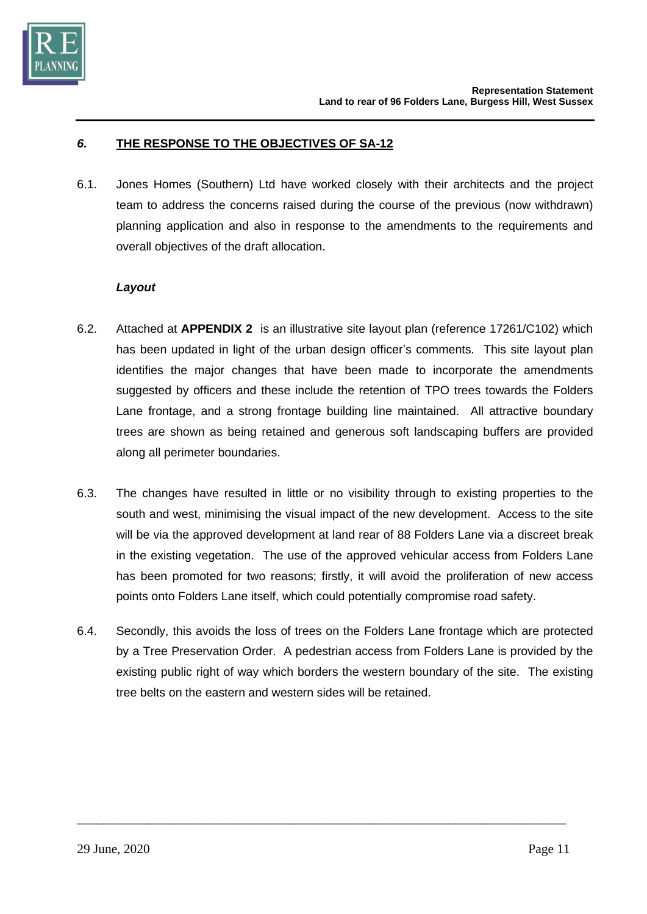

# *6.* **THE RESPONSE TO THE OBJECTIVES OF SA-12**

6.1. Jones Homes (Southern) Ltd have worked closely with their architects and the project team to address the concerns raised during the course of the previous (now withdrawn) planning application and also in response to the amendments to the requirements and overall objectives of the draft allocation.

### *Layout*

- 6.2. Attached at **APPENDIX 2** is an illustrative site layout plan (reference 17261/C102) which has been updated in light of the urban design officer's comments. This site layout plan identifies the major changes that have been made to incorporate the amendments suggested by officers and these include the retention of TPO trees towards the Folders Lane frontage, and a strong frontage building line maintained. All attractive boundary trees are shown as being retained and generous soft landscaping buffers are provided along all perimeter boundaries.
- 6.3. The changes have resulted in little or no visibility through to existing properties to the south and west, minimising the visual impact of the new development. Access to the site will be via the approved development at land rear of 88 Folders Lane via a discreet break in the existing vegetation. The use of the approved vehicular access from Folders Lane has been promoted for two reasons; firstly, it will avoid the proliferation of new access points onto Folders Lane itself, which could potentially compromise road safety.
- 6.4. Secondly, this avoids the loss of trees on the Folders Lane frontage which are protected by a Tree Preservation Order. A pedestrian access from Folders Lane is provided by the existing public right of way which borders the western boundary of the site. The existing tree belts on the eastern and western sides will be retained.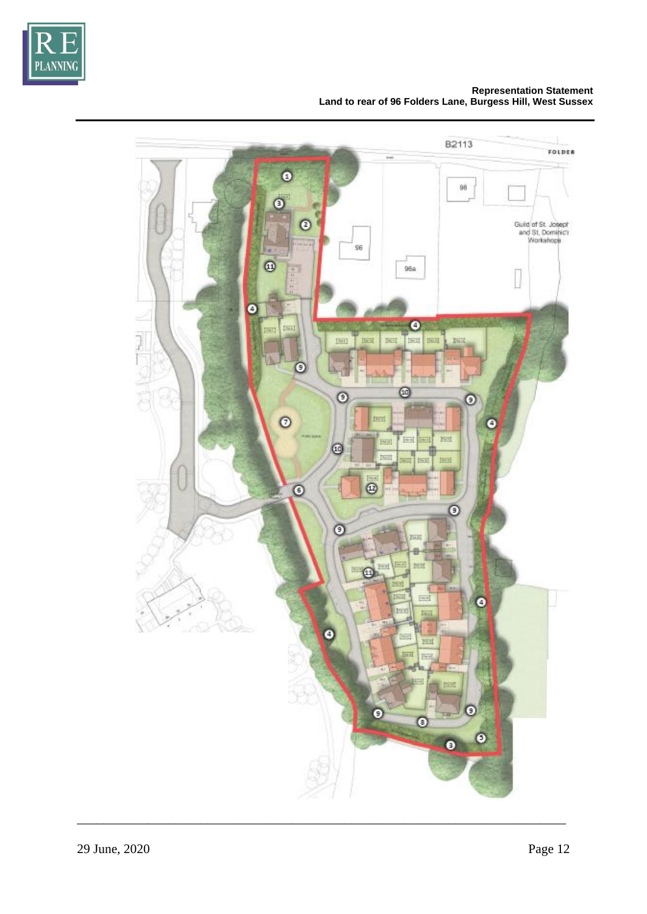

#### **Representation Statement Land to rear of 96 Folders Lane, Burgess Hill, West Sussex**

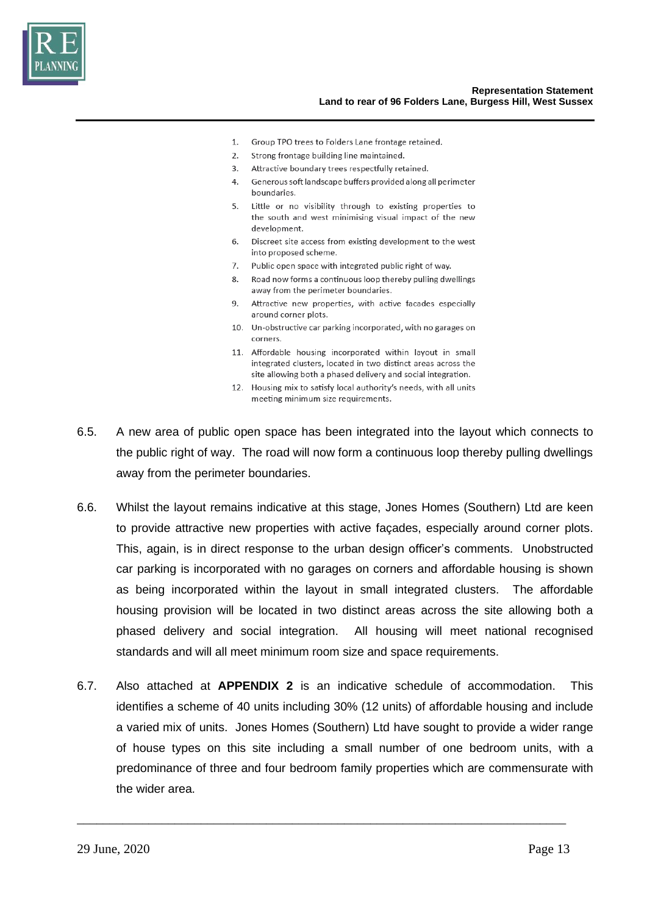

- Group TPO trees to Folders Lane frontage retained.  $1<sub>1</sub>$
- Strong frontage building line maintained.  $2.$
- 3. Attractive boundary trees respectfully retained.
- 4. Generous soft landscape buffers provided along all perimeter boundaries.
- 5. Little or no visibility through to existing properties to the south and west minimising visual impact of the new development.
- 6. Discreet site access from existing development to the west into proposed scheme.
- 7. Public open space with integrated public right of way.
- 8. Road now forms a continuous loop thereby pulling dwellings away from the perimeter boundaries.
- 9. Attractive new properties, with active facades especially around corner plots.
- 10. Un-obstructive car parking incorporated, with no garages on corners.
- 11. Affordable housing incorporated within layout in small integrated clusters, located in two distinct areas across the site allowing both a phased delivery and social integration.
- 12. Housing mix to satisfy local authority's needs, with all units meeting minimum size requirements.
- 6.5. A new area of public open space has been integrated into the layout which connects to the public right of way. The road will now form a continuous loop thereby pulling dwellings away from the perimeter boundaries.
- 6.6. Whilst the layout remains indicative at this stage, Jones Homes (Southern) Ltd are keen to provide attractive new properties with active façades, especially around corner plots. This, again, is in direct response to the urban design officer's comments. Unobstructed car parking is incorporated with no garages on corners and affordable housing is shown as being incorporated within the layout in small integrated clusters. The affordable housing provision will be located in two distinct areas across the site allowing both a phased delivery and social integration. All housing will meet national recognised standards and will all meet minimum room size and space requirements.
- 6.7. Also attached at **APPENDIX 2** is an indicative schedule of accommodation. This identifies a scheme of 40 units including 30% (12 units) of affordable housing and include a varied mix of units. Jones Homes (Southern) Ltd have sought to provide a wider range of house types on this site including a small number of one bedroom units, with a predominance of three and four bedroom family properties which are commensurate with the wider area.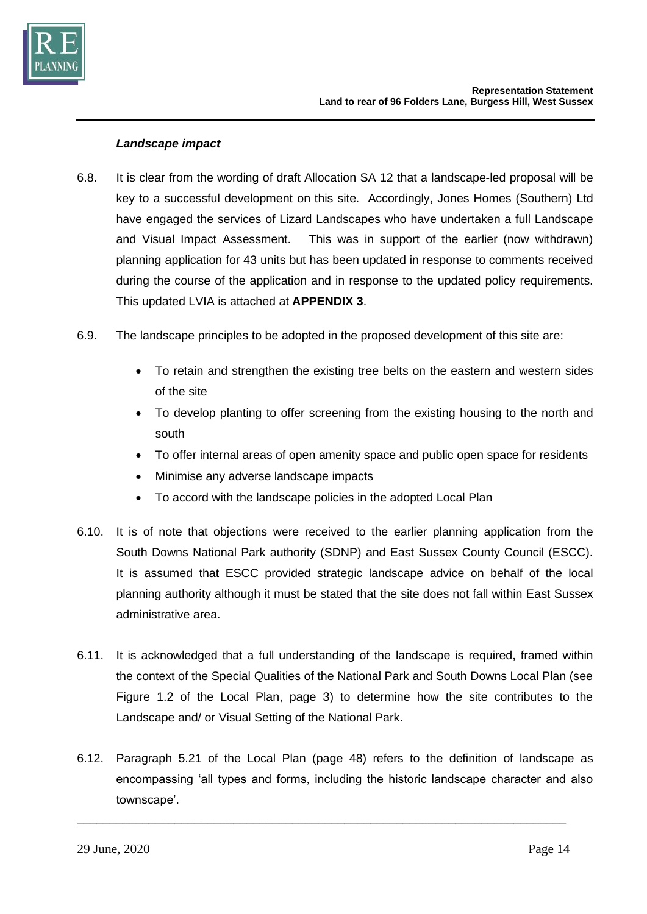

### *Landscape impact*

- 6.8. It is clear from the wording of draft Allocation SA 12 that a landscape-led proposal will be key to a successful development on this site. Accordingly, Jones Homes (Southern) Ltd have engaged the services of Lizard Landscapes who have undertaken a full Landscape and Visual Impact Assessment. This was in support of the earlier (now withdrawn) planning application for 43 units but has been updated in response to comments received during the course of the application and in response to the updated policy requirements. This updated LVIA is attached at **APPENDIX 3**.
- 6.9. The landscape principles to be adopted in the proposed development of this site are:
	- To retain and strengthen the existing tree belts on the eastern and western sides of the site
	- To develop planting to offer screening from the existing housing to the north and south
	- To offer internal areas of open amenity space and public open space for residents
	- Minimise any adverse landscape impacts
	- To accord with the landscape policies in the adopted Local Plan
- 6.10. It is of note that objections were received to the earlier planning application from the South Downs National Park authority (SDNP) and East Sussex County Council (ESCC). It is assumed that ESCC provided strategic landscape advice on behalf of the local planning authority although it must be stated that the site does not fall within East Sussex administrative area.
- 6.11. It is acknowledged that a full understanding of the landscape is required, framed within the context of the Special Qualities of the National Park and South Downs Local Plan (see Figure 1.2 of the Local Plan, page 3) to determine how the site contributes to the Landscape and/ or Visual Setting of the National Park.
- 6.12. Paragraph 5.21 of the Local Plan (page 48) refers to the definition of landscape as encompassing 'all types and forms, including the historic landscape character and also townscape'.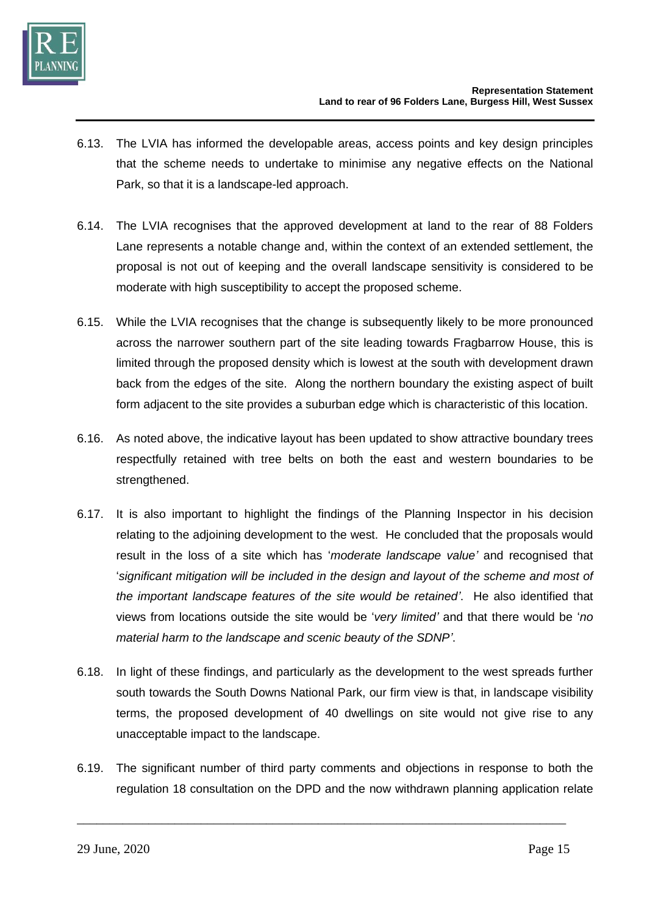

- 6.13. The LVIA has informed the developable areas, access points and key design principles that the scheme needs to undertake to minimise any negative effects on the National Park, so that it is a landscape-led approach.
- 6.14. The LVIA recognises that the approved development at land to the rear of 88 Folders Lane represents a notable change and, within the context of an extended settlement, the proposal is not out of keeping and the overall landscape sensitivity is considered to be moderate with high susceptibility to accept the proposed scheme.
- 6.15. While the LVIA recognises that the change is subsequently likely to be more pronounced across the narrower southern part of the site leading towards Fragbarrow House, this is limited through the proposed density which is lowest at the south with development drawn back from the edges of the site. Along the northern boundary the existing aspect of built form adjacent to the site provides a suburban edge which is characteristic of this location.
- 6.16. As noted above, the indicative layout has been updated to show attractive boundary trees respectfully retained with tree belts on both the east and western boundaries to be strengthened.
- 6.17. It is also important to highlight the findings of the Planning Inspector in his decision relating to the adjoining development to the west. He concluded that the proposals would result in the loss of a site which has '*moderate landscape value'* and recognised that '*significant mitigation will be included in the design and layout of the scheme and most of the important landscape features of the site would be retained'*. He also identified that views from locations outside the site would be '*very limited'* and that there would be '*no material harm to the landscape and scenic beauty of the SDNP'*.
- 6.18. In light of these findings, and particularly as the development to the west spreads further south towards the South Downs National Park, our firm view is that, in landscape visibility terms, the proposed development of 40 dwellings on site would not give rise to any unacceptable impact to the landscape.
- 6.19. The significant number of third party comments and objections in response to both the regulation 18 consultation on the DPD and the now withdrawn planning application relate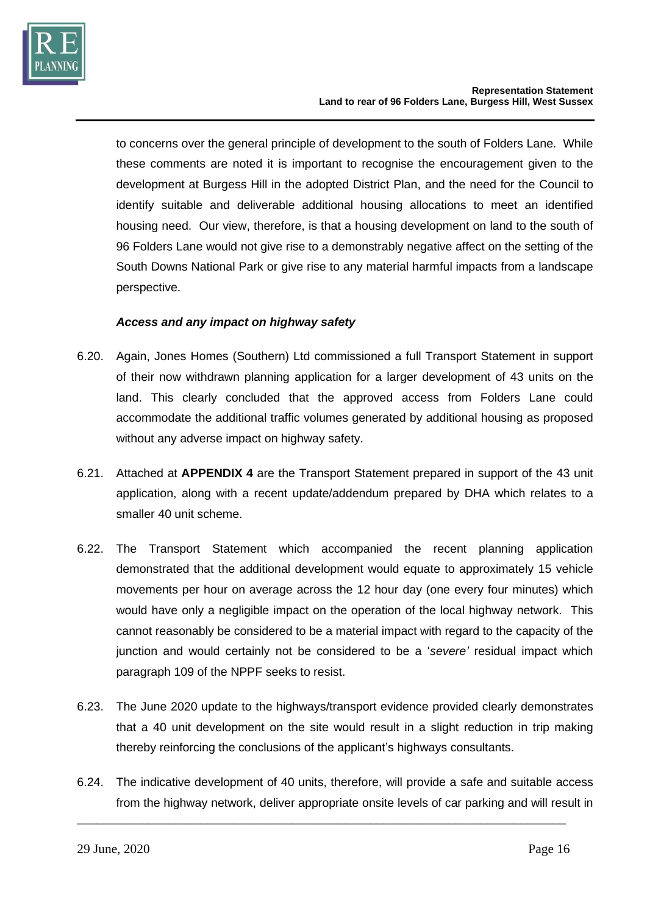

to concerns over the general principle of development to the south of Folders Lane. While these comments are noted it is important to recognise the encouragement given to the development at Burgess Hill in the adopted District Plan, and the need for the Council to identify suitable and deliverable additional housing allocations to meet an identified housing need. Our view, therefore, is that a housing development on land to the south of 96 Folders Lane would not give rise to a demonstrably negative affect on the setting of the South Downs National Park or give rise to any material harmful impacts from a landscape perspective.

### *Access and any impact on highway safety*

- 6.20. Again, Jones Homes (Southern) Ltd commissioned a full Transport Statement in support of their now withdrawn planning application for a larger development of 43 units on the land. This clearly concluded that the approved access from Folders Lane could accommodate the additional traffic volumes generated by additional housing as proposed without any adverse impact on highway safety.
- 6.21. Attached at **APPENDIX 4** are the Transport Statement prepared in support of the 43 unit application, along with a recent update/addendum prepared by DHA which relates to a smaller 40 unit scheme.
- 6.22. The Transport Statement which accompanied the recent planning application demonstrated that the additional development would equate to approximately 15 vehicle movements per hour on average across the 12 hour day (one every four minutes) which would have only a negligible impact on the operation of the local highway network. This cannot reasonably be considered to be a material impact with regard to the capacity of the junction and would certainly not be considered to be a '*severe'* residual impact which paragraph 109 of the NPPF seeks to resist.
- 6.23. The June 2020 update to the highways/transport evidence provided clearly demonstrates that a 40 unit development on the site would result in a slight reduction in trip making thereby reinforcing the conclusions of the applicant's highways consultants.
- 6.24. The indicative development of 40 units, therefore, will provide a safe and suitable access from the highway network, deliver appropriate onsite levels of car parking and will result in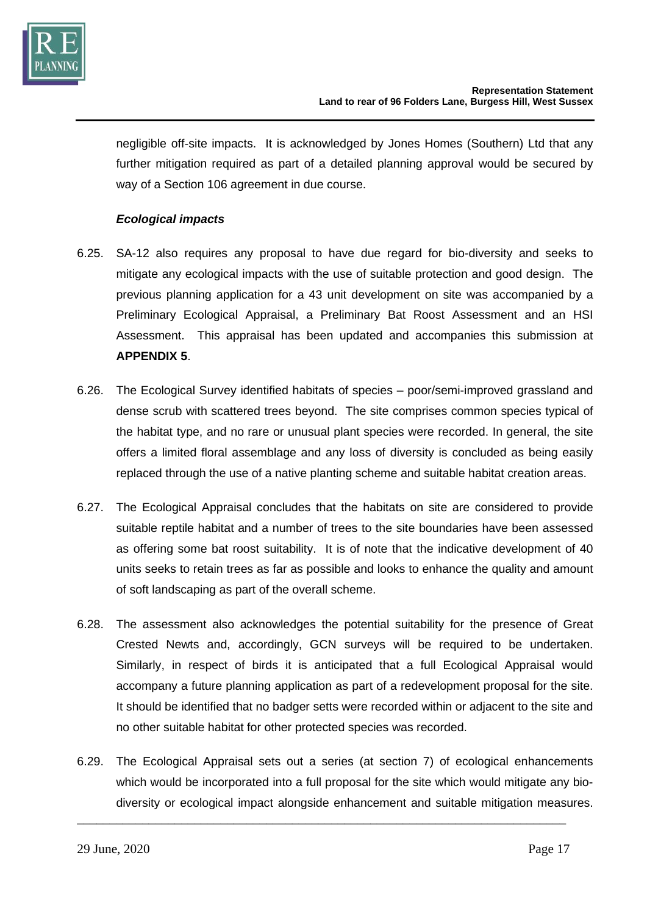

negligible off-site impacts. It is acknowledged by Jones Homes (Southern) Ltd that any further mitigation required as part of a detailed planning approval would be secured by way of a Section 106 agreement in due course.

### *Ecological impacts*

- 6.25. SA-12 also requires any proposal to have due regard for bio-diversity and seeks to mitigate any ecological impacts with the use of suitable protection and good design. The previous planning application for a 43 unit development on site was accompanied by a Preliminary Ecological Appraisal, a Preliminary Bat Roost Assessment and an HSI Assessment. This appraisal has been updated and accompanies this submission at **APPENDIX 5**.
- 6.26. The Ecological Survey identified habitats of species poor/semi-improved grassland and dense scrub with scattered trees beyond. The site comprises common species typical of the habitat type, and no rare or unusual plant species were recorded. In general, the site offers a limited floral assemblage and any loss of diversity is concluded as being easily replaced through the use of a native planting scheme and suitable habitat creation areas.
- 6.27. The Ecological Appraisal concludes that the habitats on site are considered to provide suitable reptile habitat and a number of trees to the site boundaries have been assessed as offering some bat roost suitability. It is of note that the indicative development of 40 units seeks to retain trees as far as possible and looks to enhance the quality and amount of soft landscaping as part of the overall scheme.
- 6.28. The assessment also acknowledges the potential suitability for the presence of Great Crested Newts and, accordingly, GCN surveys will be required to be undertaken. Similarly, in respect of birds it is anticipated that a full Ecological Appraisal would accompany a future planning application as part of a redevelopment proposal for the site. It should be identified that no badger setts were recorded within or adjacent to the site and no other suitable habitat for other protected species was recorded.
- 6.29. The Ecological Appraisal sets out a series (at section 7) of ecological enhancements which would be incorporated into a full proposal for the site which would mitigate any biodiversity or ecological impact alongside enhancement and suitable mitigation measures.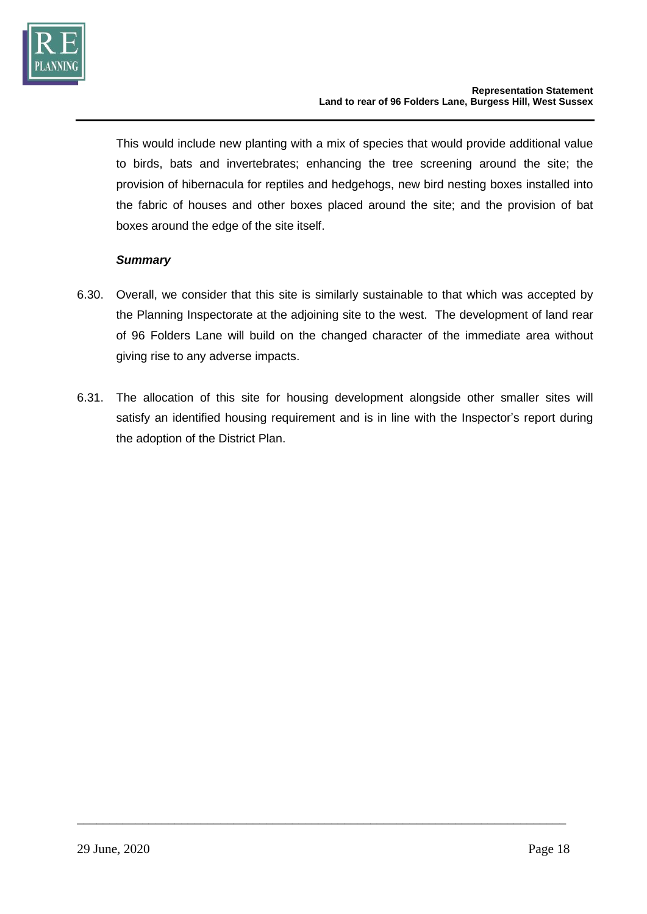

This would include new planting with a mix of species that would provide additional value to birds, bats and invertebrates; enhancing the tree screening around the site; the provision of hibernacula for reptiles and hedgehogs, new bird nesting boxes installed into the fabric of houses and other boxes placed around the site; and the provision of bat boxes around the edge of the site itself.

# *Summary*

- 6.30. Overall, we consider that this site is similarly sustainable to that which was accepted by the Planning Inspectorate at the adjoining site to the west. The development of land rear of 96 Folders Lane will build on the changed character of the immediate area without giving rise to any adverse impacts.
- 6.31. The allocation of this site for housing development alongside other smaller sites will satisfy an identified housing requirement and is in line with the Inspector's report during the adoption of the District Plan.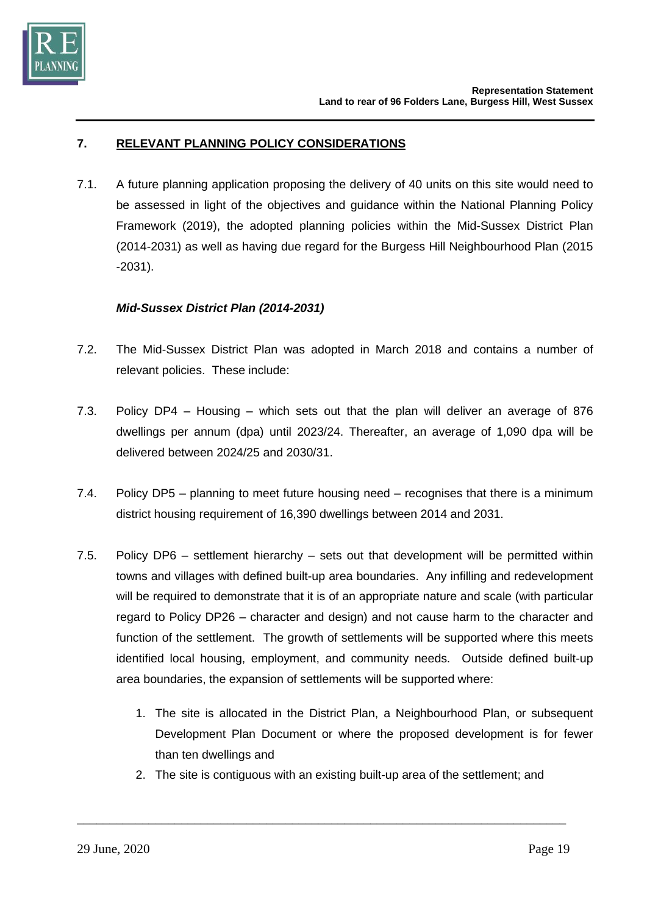

# **7. RELEVANT PLANNING POLICY CONSIDERATIONS**

7.1. A future planning application proposing the delivery of 40 units on this site would need to be assessed in light of the objectives and guidance within the National Planning Policy Framework (2019), the adopted planning policies within the Mid-Sussex District Plan (2014-2031) as well as having due regard for the Burgess Hill Neighbourhood Plan (2015 -2031).

# *Mid-Sussex District Plan (2014-2031)*

- 7.2. The Mid-Sussex District Plan was adopted in March 2018 and contains a number of relevant policies. These include:
- 7.3. Policy DP4 Housing which sets out that the plan will deliver an average of 876 dwellings per annum (dpa) until 2023/24. Thereafter, an average of 1,090 dpa will be delivered between 2024/25 and 2030/31.
- 7.4. Policy DP5 planning to meet future housing need recognises that there is a minimum district housing requirement of 16,390 dwellings between 2014 and 2031.
- 7.5. Policy DP6 settlement hierarchy sets out that development will be permitted within towns and villages with defined built-up area boundaries. Any infilling and redevelopment will be required to demonstrate that it is of an appropriate nature and scale (with particular regard to Policy DP26 – character and design) and not cause harm to the character and function of the settlement. The growth of settlements will be supported where this meets identified local housing, employment, and community needs. Outside defined built-up area boundaries, the expansion of settlements will be supported where:
	- 1. The site is allocated in the District Plan, a Neighbourhood Plan, or subsequent Development Plan Document or where the proposed development is for fewer than ten dwellings and
	- 2. The site is contiguous with an existing built-up area of the settlement; and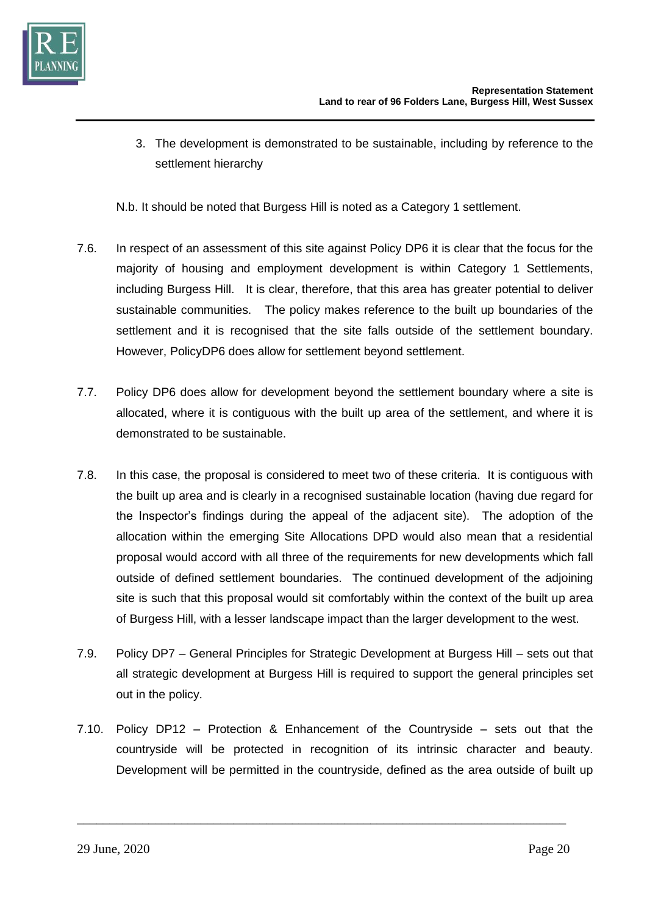

3. The development is demonstrated to be sustainable, including by reference to the settlement hierarchy

N.b. It should be noted that Burgess Hill is noted as a Category 1 settlement.

- 7.6. In respect of an assessment of this site against Policy DP6 it is clear that the focus for the majority of housing and employment development is within Category 1 Settlements, including Burgess Hill. It is clear, therefore, that this area has greater potential to deliver sustainable communities. The policy makes reference to the built up boundaries of the settlement and it is recognised that the site falls outside of the settlement boundary. However, PolicyDP6 does allow for settlement beyond settlement.
- 7.7. Policy DP6 does allow for development beyond the settlement boundary where a site is allocated, where it is contiguous with the built up area of the settlement, and where it is demonstrated to be sustainable.
- 7.8. In this case, the proposal is considered to meet two of these criteria. It is contiguous with the built up area and is clearly in a recognised sustainable location (having due regard for the Inspector's findings during the appeal of the adjacent site). The adoption of the allocation within the emerging Site Allocations DPD would also mean that a residential proposal would accord with all three of the requirements for new developments which fall outside of defined settlement boundaries. The continued development of the adjoining site is such that this proposal would sit comfortably within the context of the built up area of Burgess Hill, with a lesser landscape impact than the larger development to the west.
- 7.9. Policy DP7 General Principles for Strategic Development at Burgess Hill sets out that all strategic development at Burgess Hill is required to support the general principles set out in the policy.
- 7.10. Policy DP12 Protection & Enhancement of the Countryside sets out that the countryside will be protected in recognition of its intrinsic character and beauty. Development will be permitted in the countryside, defined as the area outside of built up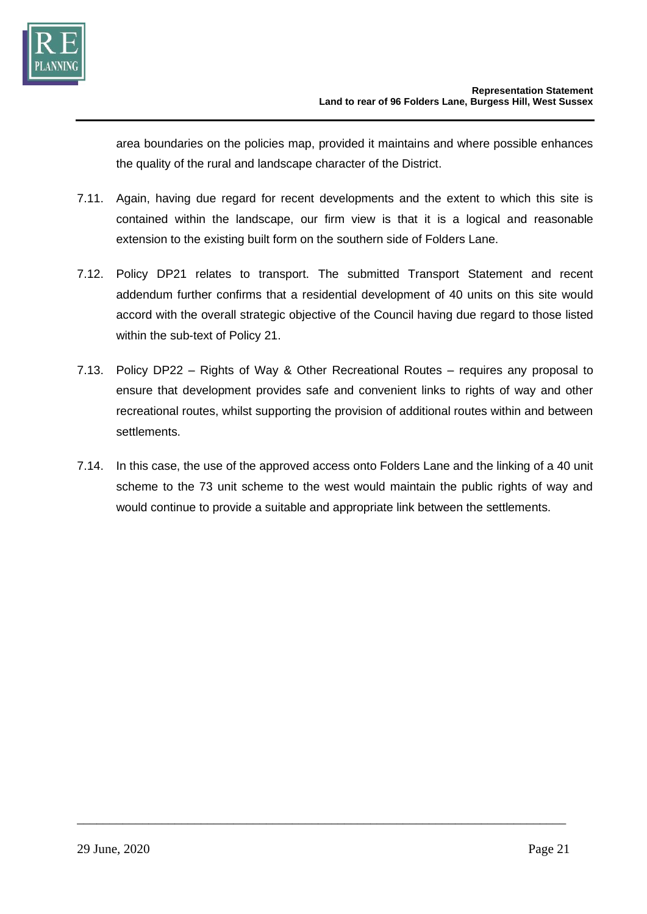

area boundaries on the policies map, provided it maintains and where possible enhances the quality of the rural and landscape character of the District.

- 7.11. Again, having due regard for recent developments and the extent to which this site is contained within the landscape, our firm view is that it is a logical and reasonable extension to the existing built form on the southern side of Folders Lane.
- 7.12. Policy DP21 relates to transport. The submitted Transport Statement and recent addendum further confirms that a residential development of 40 units on this site would accord with the overall strategic objective of the Council having due regard to those listed within the sub-text of Policy 21.
- 7.13. Policy DP22 Rights of Way & Other Recreational Routes requires any proposal to ensure that development provides safe and convenient links to rights of way and other recreational routes, whilst supporting the provision of additional routes within and between settlements.
- 7.14. In this case, the use of the approved access onto Folders Lane and the linking of a 40 unit scheme to the 73 unit scheme to the west would maintain the public rights of way and would continue to provide a suitable and appropriate link between the settlements.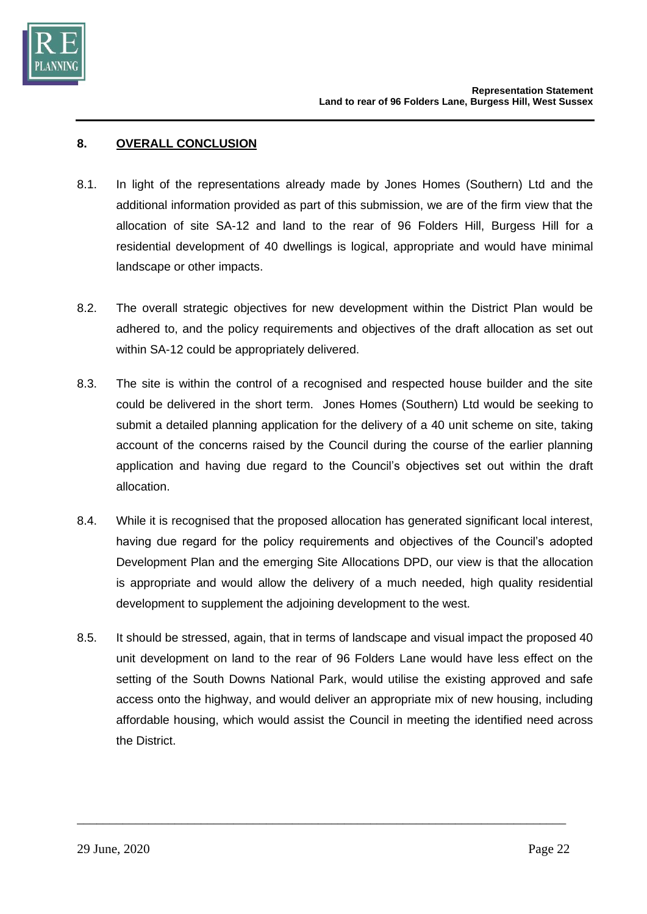

# **8. OVERALL CONCLUSION**

- 8.1. In light of the representations already made by Jones Homes (Southern) Ltd and the additional information provided as part of this submission, we are of the firm view that the allocation of site SA-12 and land to the rear of 96 Folders Hill, Burgess Hill for a residential development of 40 dwellings is logical, appropriate and would have minimal landscape or other impacts.
- 8.2. The overall strategic objectives for new development within the District Plan would be adhered to, and the policy requirements and objectives of the draft allocation as set out within SA-12 could be appropriately delivered.
- 8.3. The site is within the control of a recognised and respected house builder and the site could be delivered in the short term. Jones Homes (Southern) Ltd would be seeking to submit a detailed planning application for the delivery of a 40 unit scheme on site, taking account of the concerns raised by the Council during the course of the earlier planning application and having due regard to the Council's objectives set out within the draft allocation.
- 8.4. While it is recognised that the proposed allocation has generated significant local interest. having due regard for the policy requirements and objectives of the Council's adopted Development Plan and the emerging Site Allocations DPD, our view is that the allocation is appropriate and would allow the delivery of a much needed, high quality residential development to supplement the adjoining development to the west.
- 8.5. It should be stressed, again, that in terms of landscape and visual impact the proposed 40 unit development on land to the rear of 96 Folders Lane would have less effect on the setting of the South Downs National Park, would utilise the existing approved and safe access onto the highway, and would deliver an appropriate mix of new housing, including affordable housing, which would assist the Council in meeting the identified need across the District.